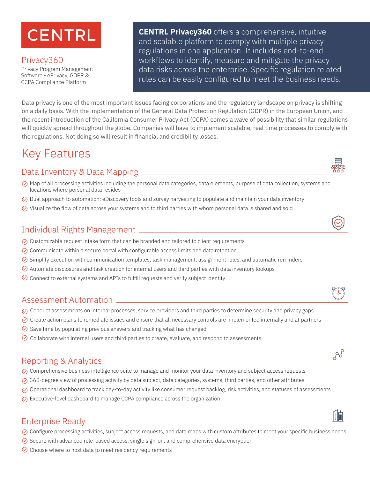# **CENTRL**

Privacy360 Privacy Program Management Software - ePrivacy, GDPR & CCPA Compliance Platform

**CENTRL Privacy360** offers a comprehensive, intuitive and scalable platform to comply with multiple privacy regulations in one application. It includes end-to-end workflows to identify, measure and mitigate the privacy data risks across the enterprise. Specific regulation related rules can be easily configured to meet the business needs.

Data privacy is one of the most important issues facing corporations and the regulatory landscape on privacy is shifting on a daily basis. With the implementation of the General Data Protection Regulation (GDPR) in the European Union, and the recent introduction of the California Consumer Privacy Act (CCPA) comes a wave of possibility that similar regulations will quickly spread throughout the globe. Companies will have to implement scalable, real time processes to comply with the regulations. Not doing so will result in financial and credibility losses.

# Key Features

### Data Inventory & Data Mapping

- $\oslash$  Map of all processing activities including the personal data categories, data elements, purpose of data collection, systems and locations where personal data resides
- $\oslash$  Dual approach to automation: eDiscovery tools and survey harvesting to populate and maintain your data inventory
- $\odot$  Visualize the flow of data across your systems and to third parties with whom personal data is shared and sold

#### Individual Rights Management

- $\oslash$  Customizable request intake form that can be branded and tailored to client requirements
- $\heartsuit$  Communicate within a secure portal with configurable access limits and data retention
- $\odot$  Simplify execution with communication templates, task management, assignment rules, and automatic reminders
- $\oslash$  Automate disclosures and task creation for internal users and third parties with data inventory lookups
- $\oslash$  Connect to external systems and APIs to fulfill requests and verify subject identity

#### Assessment Automation

- $\oslash$  Conduct assessments on internal processes, service providers and third parties to determine security and privacy gaps
- $\oslash$  Create action plans to remediate issues and ensure that all necessary controls are implemented internally and at partners
- $\Diamond$  Save time by populating previous answers and tracking what has changed
- $\odot$  Collaborate with internal users and third parties to create, evaluate, and respond to assessments.

#### Reporting & Analytics

- $\oslash$  Comprehensive business intelligence suite to manage and monitor your data inventory and subject access requests
- $\oslash$  360-degree view of processing activity by data subject, data categories, systems, third parties, and other attributes
- $\oslash$  Operational dashboard to track day-to-day activity like consumer request backlog, risk activities, and statuses of assessments
- $\oslash$  Executive-level dashboard to manage CCPA compliance across the organization

## Enterprise Ready

- $\oslash$  Configure processing activities, subject access requests, and data maps with custom attributes to meet your specific business needs
- $\oslash$  Secure with advanced role-based access, single sign-on, and comprehensive data encryption
- $\odot$  Choose where to host data to meet residency requirements